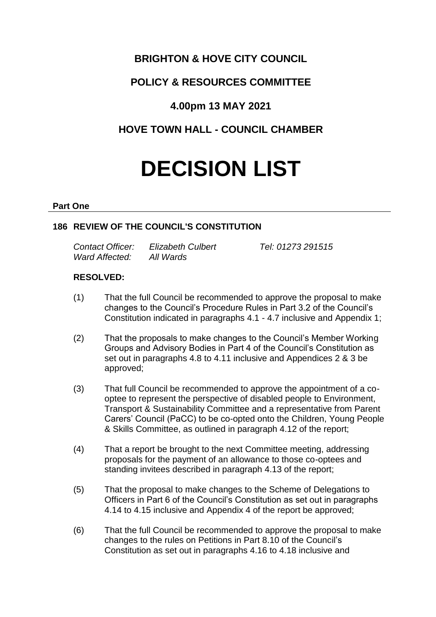## **BRIGHTON & HOVE CITY COUNCIL**

# **POLICY & RESOURCES COMMITTEE**

## **4.00pm 13 MAY 2021**

# **HOVE TOWN HALL - COUNCIL CHAMBER**

# **DECISION LIST**

#### **Part One**

## **186 REVIEW OF THE COUNCIL'S CONSTITUTION**

| Contact Officer: | <b>Elizabeth Culbert</b> | Tel: 01273 291515 |
|------------------|--------------------------|-------------------|
| Ward Affected:   | All Wards                |                   |

### **RESOLVED:**

- (1) That the full Council be recommended to approve the proposal to make changes to the Council's Procedure Rules in Part 3.2 of the Council's Constitution indicated in paragraphs 4.1 - 4.7 inclusive and Appendix 1;
- (2) That the proposals to make changes to the Council's Member Working Groups and Advisory Bodies in Part 4 of the Council's Constitution as set out in paragraphs 4.8 to 4.11 inclusive and Appendices 2 & 3 be approved;
- (3) That full Council be recommended to approve the appointment of a cooptee to represent the perspective of disabled people to Environment, Transport & Sustainability Committee and a representative from Parent Carers' Council (PaCC) to be co-opted onto the Children, Young People & Skills Committee, as outlined in paragraph 4.12 of the report;
- (4) That a report be brought to the next Committee meeting, addressing proposals for the payment of an allowance to those co-optees and standing invitees described in paragraph 4.13 of the report;
- (5) That the proposal to make changes to the Scheme of Delegations to Officers in Part 6 of the Council's Constitution as set out in paragraphs 4.14 to 4.15 inclusive and Appendix 4 of the report be approved;
- (6) That the full Council be recommended to approve the proposal to make changes to the rules on Petitions in Part 8.10 of the Council's Constitution as set out in paragraphs 4.16 to 4.18 inclusive and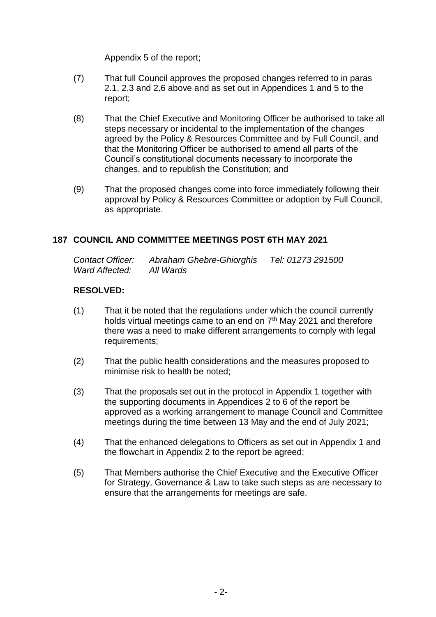Appendix 5 of the report;

- (7) That full Council approves the proposed changes referred to in paras 2.1, 2.3 and 2.6 above and as set out in Appendices 1 and 5 to the report;
- (8) That the Chief Executive and Monitoring Officer be authorised to take all steps necessary or incidental to the implementation of the changes agreed by the Policy & Resources Committee and by Full Council, and that the Monitoring Officer be authorised to amend all parts of the Council's constitutional documents necessary to incorporate the changes, and to republish the Constitution; and
- (9) That the proposed changes come into force immediately following their approval by Policy & Resources Committee or adoption by Full Council, as appropriate.

## **187 COUNCIL AND COMMITTEE MEETINGS POST 6TH MAY 2021**

*Contact Officer: Abraham Ghebre-Ghiorghis Tel: 01273 291500 Ward Affected: All Wards*

### **RESOLVED:**

- (1) That it be noted that the regulations under which the council currently holds virtual meetings came to an end on  $7<sup>th</sup>$  May 2021 and therefore there was a need to make different arrangements to comply with legal requirements;
- (2) That the public health considerations and the measures proposed to minimise risk to health be noted;
- (3) That the proposals set out in the protocol in Appendix 1 together with the supporting documents in Appendices 2 to 6 of the report be approved as a working arrangement to manage Council and Committee meetings during the time between 13 May and the end of July 2021;
- (4) That the enhanced delegations to Officers as set out in Appendix 1 and the flowchart in Appendix 2 to the report be agreed;
- (5) That Members authorise the Chief Executive and the Executive Officer for Strategy, Governance & Law to take such steps as are necessary to ensure that the arrangements for meetings are safe.